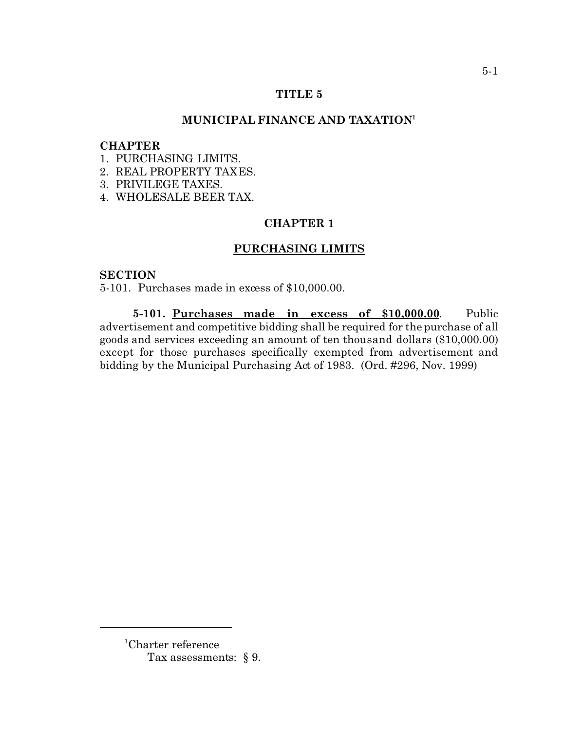### **TITLE 5**

# **MUNICIPAL FINANCE AND TAXATION<sup>1</sup>**

### **CHAPTER**

- 1. PURCHASING LIMITS.
- 2. REAL PROPERTY TAXES.
- 3. PRIVILEGE TAXES.
- 4. WHOLESALE BEER TAX.

# **CHAPTER 1**

# **PURCHASING LIMITS**

# **SECTION**

5-101. Purchases made in excess of \$10,000.00.

**5-101. Purchases made in excess of \$10,000.00**. Public advertisement and competitive bidding shall be required for the purchase of all goods and services exceeding an amount of ten thousand dollars (\$10,000.00) except for those purchases specifically exempted from advertisement and bidding by the Municipal Purchasing Act of 1983. (Ord. #296, Nov. 1999)

<sup>1</sup>Charter reference Tax assessments: § 9.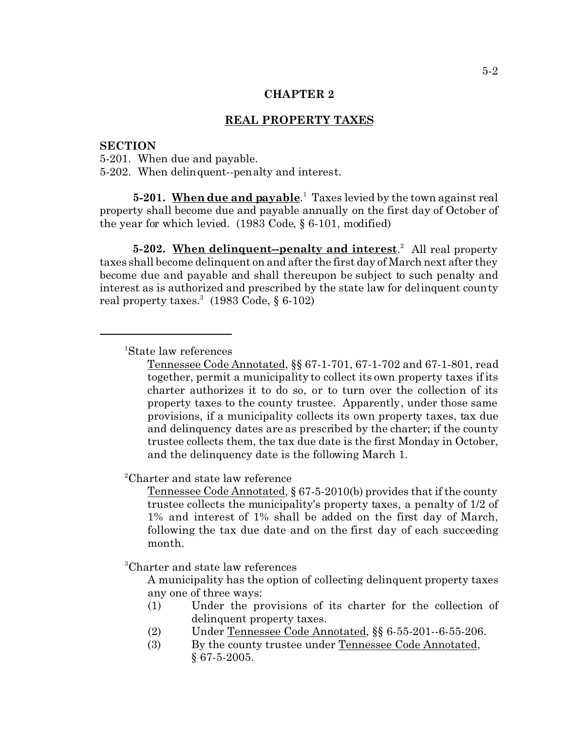### **CHAPTER 2**

# **REAL PROPERTY TAXES**

### **SECTION**

5-201. When due and payable. 5-202. When delinquent--penalty and interest.

**5-201. When due and payable**. 1 Taxes levied by the town against real property shall become due and payable annually on the first day of October of the year for which levied. (1983 Code, § 6-101, modified)

5-202. When delinquent-penalty and interest.<sup>2</sup> All real property taxes shall become delinquent on and after the first day of March next after they become due and payable and shall thereupon be subject to such penalty and interest as is authorized and prescribed by the state law for delinquent county real property taxes. $^3$  (1983 Code, § 6-102)

<sup>1</sup>State law references

Tennessee Code Annotated, §§ 67-1-701, 67-1-702 and 67-1-801, read together, permit a municipality to collect its own property taxes if its charter authorizes it to do so, or to turn over the collection of its property taxes to the county trustee. Apparently, under those same provisions, if a municipality collects its own property taxes, tax due and delinquency dates are as prescribed by the charter; if the county trustee collects them, the tax due date is the first Monday in October, and the delinquency date is the following March 1.

<sup>2</sup>Charter and state law reference

Tennessee Code Annotated, § 67-5-2010(b) provides that if the county trustee collects the municipality's property taxes, a penalty of 1/2 of 1% and interest of 1% shall be added on the first day of March, following the tax due date and on the first day of each succeeding month.

<sup>3</sup>Charter and state law references

A municipality has the option of collecting delinquent property taxes any one of three ways:

- (1) Under the provisions of its charter for the collection of delinquent property taxes.
- (2) Under Tennessee Code Annotated, §§ 6-55-201--6-55-206.
- (3) By the county trustee under Tennessee Code Annotated, § 67-5-2005.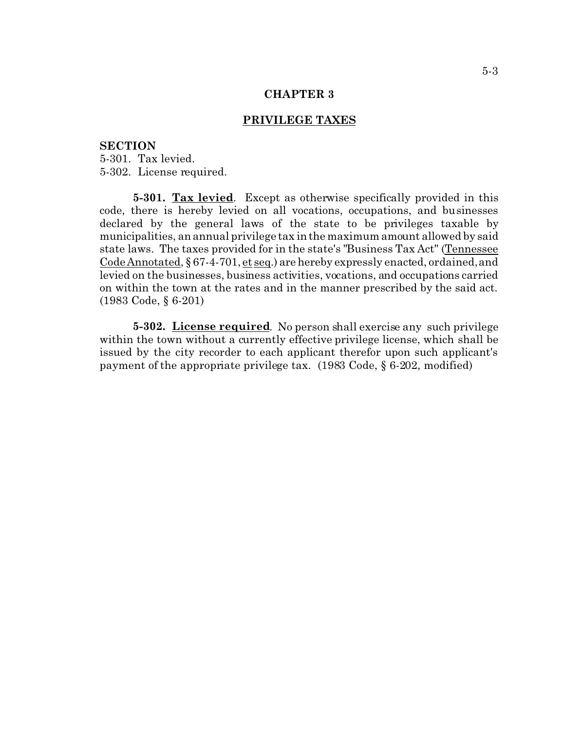#### **CHAPTER 3**

## **PRIVILEGE TAXES**

#### **SECTION**

5-301. Tax levied. 5-302. License required.

**5-301. Tax levied**. Except as otherwise specifically provided in this code, there is hereby levied on all vocations, occupations, and businesses declared by the general laws of the state to be privileges taxable by municipalities, an annual privilege tax in the maximum amount allowed by said state laws. The taxes provided for in the state's "Business Tax Act" (Tennessee Code Annotated, § 67-4-701, et seq.) are hereby expressly enacted, ordained, and levied on the businesses, business activities, vocations, and occupations carried on within the town at the rates and in the manner prescribed by the said act. (1983 Code, § 6-201)

**5-302. License required**. No person shall exercise any such privilege within the town without a currently effective privilege license, which shall be issued by the city recorder to each applicant therefor upon such applicant's payment of the appropriate privilege tax. (1983 Code, § 6-202, modified)